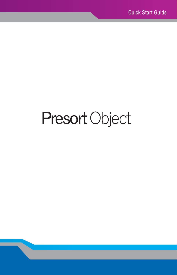# Presort Object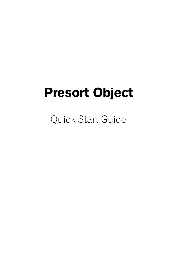## Presort Object

Quick Start Guide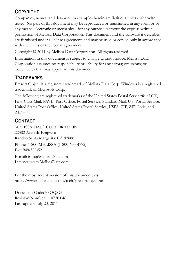#### **COPYRIGHT**

Companies; names; and data used in examples herein are fictitious unless otherwise noted. No part of this document may be reproduced or transmitted in any form or by any means; electronic or mechanical; for any purpose; without the express written permission of Melissa Data Corporation. This document and the software it describes are furnished under a license agreement; and may be used or copied only in accordance with the terms of the license agreement.

Copyright © 2011 by Melissa Data Corporation. All rights reserved.

Information in this document is subject to change without notice. Melissa Data Corporation assumes no responsibility or liability for any errors; omissions; or inaccuracies that may appear in this document.

#### **TRADEMARKS**

Presort Object is a registered trademark of Melissa Data Corp. Windows is a registered trademark of Microsoft Corp.

The following are registered trademarks of the United States Postal Service®: eLOT, First-Class Mail, PAVE, Post Office, Postal Service, Standard Mail, U.S. Postal Service, United States Post Office, United States Postal Service, USPS, ZIP, ZIP Code, and  $ZIP + 4$ .

#### **CONTACT**

MELISSA DATA CORPORATION 22382 Avenida Empresa Rancho Santa Margarita; CA 92688 Phone: 1-800-MELISSA (1-800-635-4772) Fax: 949-589-5211 E-mail: info@MelissaData.com Internet: www.MelissaData.com

For the most recent version of this document, visit http://www.melissadata.com/tech/presortobject.htm

Document Code: PSOQSG Revision Number: 110720.046 Last update: July 20, 2011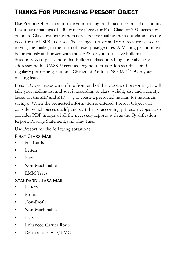## THANKS FOR PURCHASING PRESORT OBJECT

Use Presort Object to automate your mailings and maximize postal discounts. If you have mailings of 500 or more pieces for First Class, or 200 pieces for Standard Class, presorting the records before mailing them out eliminates the need for the USPS to do so. The savings in labor and resources are passed on to you, the mailer, in the form of lower postage rates. A Mailing permit must be previously authorized with the USPS for you to receive bulk mail discounts. Also please note that bulk mail discounts hinge on validating addresses with a CASS™ certified engine such as Address Object and regularly performing National Change of Address NCOALink™ on your mailing lists.

Presort Object takes care of the front end of the process of presorting. It will take your mailing list and sort it according to class, weight, size and quantity, based on the ZIP and ZIP  $+$  4, to create a presorted mailing for maximum savings. When the requested information is entered, Presort Object will consider which pieces qualify and sort the list accordingly. Presort Object also provides PDF images of all the necessary reports such as the Qualification Report, Postage Statement, and Tray Tags.

Use Presort for the following sortations:

#### FIRST CLASS MAIL

- PostCards
- **Letters**
- Flats
- Non-Machinable
- EMM Trays

#### STANDARD CLASS MAIL

- Letters
- Profit
- Non-Profit
- Non-Machinable
- Flats
- Enhanced Carrier Route
- Destinations SCF/BMC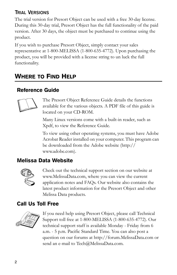#### **TRIAL VERSIONS**

The trial version for Presort Object can be used with a free 30-day license. During this 30-day trial, Presort Object has the full functionality of the paid version. After 30 days, the object must be purchased to continue using the product.

If you wish to purchase Presort Object, simply contact your sales representative at 1-800-MELISSA (1-800-635-4772). Upon purchasing the product, you will be provided with a license string to un luck the full functionality.

## WHERE TO FIND HELP

#### Reference Guide



The Presort Object Reference Guide details the functions available for the various objects. A PDF file of this guide is located on your CD-ROM.

Many Linux versions come with a built-in reader, such as Xpdf, to view the Reference Guide.

To view using other operating systems, you must have Adobe Acrobat Reader installed on your computer. This program can be downloaded from the Adobe website (http:// www.adobe.com).

#### Melissa Data Website



Check out the technical support section on our website at www.MelissaData.com, where you can view the current application notes and FAQs. Our website also contains the [latest product information for the Presort Object and other](http://www.MelissaData.com)  Melissa Data products.

#### Call Us Toll Free



If you need help using Presort Object, please call Technical Support toll free at 1-800-MELISSA (1-800-635-4772). Our technical support staff is available Monday - Friday from 6 a.m. - 5 p.m. Pacific Standard Time. You can also post a question on our forums at http://forum.MelissaData.com or send an e-mail to Tech@MelissaData.com.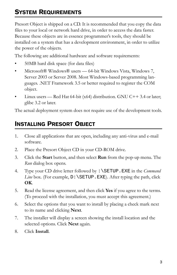## SYSTEM REQUIREMENTS

Presort Object is shipped on a CD. It is recommended that you copy the data files to your local or network hard drive, in order to access the data faster. Because these objects are in essence programmer's tools, they should be installed on a system that has a development environment, in order to utilize the power of the objects.

The following are additional hardware and software requirements:

- 50MB hard disk space (for data files)
- Microsoft® Windows® users 64-bit Windows Vista, Windows 7, Server 2003 or Server 2008. Most Windows-based programming languages. .NET Framework 3.5 or better required to register the COM object.
- Linux users Red Hat 64-bit (x64) distribution. GNU C++3.4 or later; glibc 3.2 or later.

The actual deployment system does not require use of the development tools.

## INSTALLING PRESORT OBJECT

- 1. Close all applications that are open, including any anti-virus and e-mail software.
- 2. Place the Presort Object CD in your CD-ROM drive.
- 3. Click the **Start** button, and then select **Run** from the pop-up menu. The *Run* dialog box opens.
- 4. Type your CD drive letter followed by :\SETUP.EXE in the *Command Line* box. (For example,  $D:\S$ ETUP. EXE). After typing the path, click **OK**.
- 5. Read the license agreement, and then click **Yes** if you agree to the terms. (To proceed with the installation, you must accept this agreement.)
- 6. Select the options that you want to install by placing a check mark next to its name and clicking **Next**.
- 7. The installer will display a screen showing the install location and the selected options. Click **Next** again.
- 8. Click **Install**.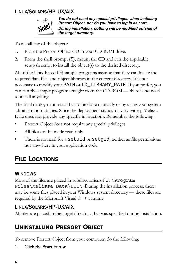#### **LINUX/SOLARIS/HP-UX/AIX**



*You do not need any special privileges when installing Presort Object, nor do you have to log in as* **root***. During installation, nothing will be modified outside of the target directory.*

To install any of the objects:

- 1. Place the Presort Object CD in your CD-ROM drive.
- 2. From the shell prompt  $(\hat{S})$ , mount the CD and run the applicable setup.sh script to install the object(s) to the desired directory.

All of the Unix-based OS sample programs assume that they can locate the required data files and object libraries in the current directory. It is not necessary to modify your PATH or LD\_LIBRARY\_PATH. If you prefer, you can run the sample program straight from the CD-ROM — there is no need to install anything.

The final deployment install has to be done manually or by using your system administration utilities. Since the deployment standards vary widely, Melissa Data does not provide any specific instructions. Remember the following:

- Presort Object does not require any special privileges
- All files can be made read-only
- There is no need for a setuid or setgid, neither as file permissions nor anywhere in your application code.

## FILE LOCATIONS

#### **WINDOWS**

Most of the files are placed in subdirectories of  $C: \Per{\text{Program}}$ Files\Melissa Data\DQT\. During the installation process, there may be some files placed in your Windows system directory — these files are required by the Microsoft Visual C++ runtime.

#### **LINUX/SOLARIS/HP-UX/AIX**

All files are placed in the target directory that was specified during installation.

## UNINSTALLING PRESORT OBJECT

To remove Presort Object from your computer, do the following:

1. Click the **Start** button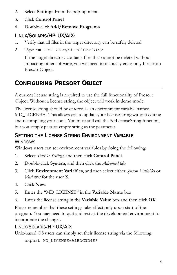- 2. Select **Settings** from the pop-up menu.
- 3. Click **Control Panel**
- 4. Double-click **Add/Remove Programs**.

#### **LINUX/SOLARIS/HP-UX/AIX:**

- 1. Verify that all files in the target directory can be safely deleted.
- 2. Type rm -rf *target-directory*.

If the target directory contains files that cannot be deleted without impacting other software, you will need to manually erase only files from Presort Object.

## CONFIGURING PRESORT OBJECT

A current license string is required to use the full functionality of Presort Object. Without a license string, the object will work in demo mode.

The license string should be entered as an environment variable named MD\_LICENSE. This allows you to update your license string without editing and recompiling your code. You must still call the SetLicenseString function, but you simply pass an empty string as the parameter.

#### **SETTING THE LICENSE STRING ENVIRONMENT VARIABLE WINDOWS**

Windows users can set environment variables by doing the following:

- 1. Select *Start > Settings*, and then click **Control Panel**.
- 2. Double-click **System**, and then click the *Advanced* tab.
- 3. Click **Environment Variables**, and then select either *System Variables* or *Variables* for the user X.
- 4. Click **New**.
- 5. Enter the "MD\_LICENSE" in the **Variable Name** box.
- 6. Enter the license string in the **Variable Value** box and then click **OK**.

Please remember that these settings take effect only upon start of the program. You may need to quit and restart the development environment to incorporate the changes.

#### LINUX/SOLARIS/HP-UX/AIX

Unix-based OS users can simply set their license string via the following:

```
export MD_LICENSE=A1B2C3D4E5
```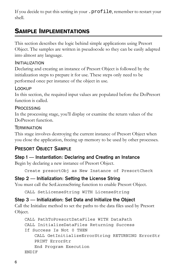If you decide to put this setting in your .profile, remember to restart your shell.

### SAMPLE IMPLEMENTATIONS

This section describes the logic behind simple applications using Presort Object. The samples are written in pseudocode so they can be easily adapted into almost any language.

#### INITIALIZATION

Declaring and creating an instance of Presort Object is followed by the initialization steps to prepare it for use. These steps only need to be performed once per instance of the object in use.

#### LOOKUP

In this section, the required input values are populated before the DoPresort function is called.

#### **PROCESSING**

In the processing stage, you'll display or examine the return values of the DoPresort function.

#### **TERMINATION**

This stage involves destroying the current instance of Presort Object when you close the application, freeing up memory to be used by other processes.

#### **PRESORT OBJECT SAMPLE**

#### **Step 1 — Instantiation: Declaring and Creating an Instance**

Begin by declaring a new instance of Presort Object.

Create presortObj as New Instance of PresortCheck

#### **Step 2 — Initialization: Setting the License String**

You must call the SetLicenseString function to enable Presort Object.

CALL SetLicenseString WITH LicenseString

#### **Step 3 — Initialization: Set Data and Initialize the Object**

Call the Initialize method to set the paths to the data files used by Presort Object.

```
CALL PathToPresortDataFiles WITH DataPath
CALL InitializeDataFiles Returning Success
If Success Is Not 0 THEN
   CALL GetInitializeErrorString RETURNING ErrorStr
   PRINT ErrorStr
   End Program Execution
ENDIF
```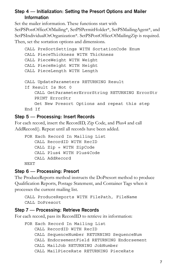#### **Step 4 — Initialization: Setting the Presort Options and Mailer Information**

Set the mailer information. These functions start with SetPSPostOfficeOfMailing\*, SetPSPermitHolder\*, SetPSMailingAgent\*, and SetPSIndividualOrOrganization\*. SetPSPostOfficeOfMailingZip is required. Then, set the sortation options and dimensions.

```
CALL PreSortSettings WITH SortationCode Enum
CALL PieceThickness WITH Thickness
CALL PieceWeight WITH Weight
CALL PieceHeight WITH Height
CALL PieceLength WITH Length
CALL UpdateParameters RETURNING Result
If Result Is Not 0
    CALL GetParameterErrorString RETURNING ErrorStr
   PRINT ErrorStr
    Get New Presort Options and repeat this step
End If
```
#### **Step 5 — Processing: Insert Records**

For each record, insert the RecordID, Zip Code, and Plus4 and call AddRecord(). Repeat until all records have been added.

```
FOR Each Record In Mailing List
   CALL RecordID WITH RecID
    CALL Zip = WITH ZipCode
    CALL Plus4 WITH Plus4Code
    CALL AddRecord
NEXT
```
#### **Step 6 — Processing: Presort**

The ProduceReports method instructs the DoPresort method to produce Qualification Reports, Postage Statement, and Container Tags when it processes the current mailing list.

```
CALL ProduceReports WITH FilePath, FileName
CALL DoPresort
```
#### **Step 7 — Processing: Retrieve Records**

For each record, pass its RecordID to retrieve its information:

```
FOR Each Record In Mailing List
   CALL RecordID WITH RecID
   CALL SequenceNumber RETURNING SequenceNum
   CALL EndorsementField RETURNING Endorsement
   CALL MailJob RETURNING JobNumber
   CALL MailPieceRate RETURNING PieceRate
```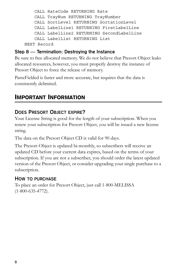```
CALL RateCode RETURNING Rate
   CALL TrayNum RETURNING TrayNumber
   CALL SortLevel RETURNING SortationLevel
   CALL LabelLine1 RETURNING FirstLabelLine
   CALL LabelLine2 RETURNING SecondLabelLine
   CALL LabelList RETURNING List
NEXT Record
```
#### **Step 8 — Termination: Destroying the Instance**

Be sure to free allocated memory. We do not believe that Presort Object leaks allocated resources, however, you must properly destroy the instance of Presort Object to force the release of memory.

ParseFielded is faster and more accurate, but requires that the data is consistently delimited.

#### IMPORTANT INFORMATION

#### **DOES PRESORT OBJECT EXPIRE?**

Your License String is good for the length of your subscription. When you renew your subscription for Presort Object, you will be issued a new license string.

The data on the Presort Object CD is valid for 90 days.

The Presort Object is updated bi-monthly, so subscribers will receive an updated CD before your current data expires, based on the terms of your subscription. If you are not a subscriber, you should order the latest updated version of the Presort Object, or consider upgrading your single purchase to a subscription.

#### **HOW TO PURCHASE**

To place an order for Presort Object, just call 1-800-MELISSA (1-800-635-4772).